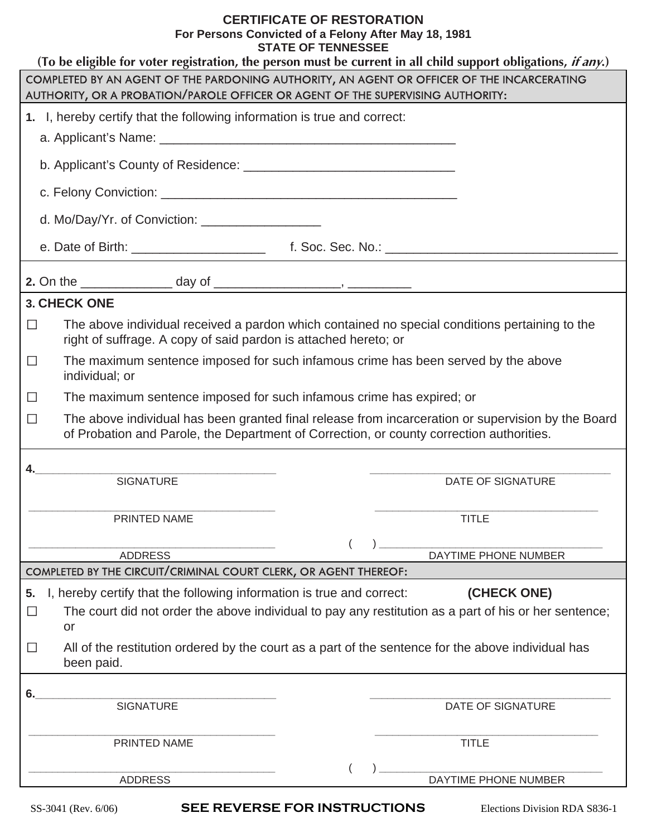#### **CERTIFICATE OF RESTORATION For Persons Convicted of a Felony After May 18, 1981 STATE OF TENNESSEE**

| (To be eligible for voter registration, the person must be current in all child support obligations, if any.)                                                                                            |  |  |  |
|----------------------------------------------------------------------------------------------------------------------------------------------------------------------------------------------------------|--|--|--|
| COMPLETED BY AN AGENT OF THE PARDONING AUTHORITY, AN AGENT OR OFFICER OF THE INCARCERATING                                                                                                               |  |  |  |
| AUTHORITY, OR A PROBATION/PAROLE OFFICER OR AGENT OF THE SUPERVISING AUTHORITY:                                                                                                                          |  |  |  |
| 1. I, hereby certify that the following information is true and correct:                                                                                                                                 |  |  |  |
|                                                                                                                                                                                                          |  |  |  |
|                                                                                                                                                                                                          |  |  |  |
|                                                                                                                                                                                                          |  |  |  |
| d. Mo/Day/Yr. of Conviction: $\frac{1}{2}$                                                                                                                                                               |  |  |  |
|                                                                                                                                                                                                          |  |  |  |
|                                                                                                                                                                                                          |  |  |  |
| 3. CHECK ONE                                                                                                                                                                                             |  |  |  |
| The above individual received a pardon which contained no special conditions pertaining to the<br>$\Box$<br>right of suffrage. A copy of said pardon is attached hereto; or                              |  |  |  |
| The maximum sentence imposed for such infamous crime has been served by the above<br>$\Box$<br>individual; or                                                                                            |  |  |  |
| The maximum sentence imposed for such infamous crime has expired; or                                                                                                                                     |  |  |  |
| The above individual has been granted final release from incarceration or supervision by the Board<br>$\Box$<br>of Probation and Parole, the Department of Correction, or county correction authorities. |  |  |  |
| 4.                                                                                                                                                                                                       |  |  |  |
| <b>SIGNATURE</b><br><b>DATE OF SIGNATURE</b>                                                                                                                                                             |  |  |  |
|                                                                                                                                                                                                          |  |  |  |
| <b>TITLE</b><br>PRINTED NAME                                                                                                                                                                             |  |  |  |
|                                                                                                                                                                                                          |  |  |  |
| DAYTIME PHONE NUMBER<br><b>ADDRESS</b><br>COMPLETED BY THE CIRCUIT/CRIMINAL COURT CLERK, OR AGENT THEREOF:                                                                                               |  |  |  |
| I, hereby certify that the following information is true and correct:<br>(CHECK ONE)                                                                                                                     |  |  |  |
| 5.                                                                                                                                                                                                       |  |  |  |
| The court did not order the above individual to pay any restitution as a part of his or her sentence;<br>$\Box$<br>or                                                                                    |  |  |  |
| All of the restitution ordered by the court as a part of the sentence for the above individual has<br>⊔<br>been paid.                                                                                    |  |  |  |
|                                                                                                                                                                                                          |  |  |  |
| 6.<br><b>SIGNATURE</b><br>DATE OF SIGNATURE                                                                                                                                                              |  |  |  |
|                                                                                                                                                                                                          |  |  |  |
| <b>TITLE</b><br>PRINTED NAME                                                                                                                                                                             |  |  |  |
|                                                                                                                                                                                                          |  |  |  |
| <b>ADDRESS</b><br>DAYTIME PHONE NUMBER                                                                                                                                                                   |  |  |  |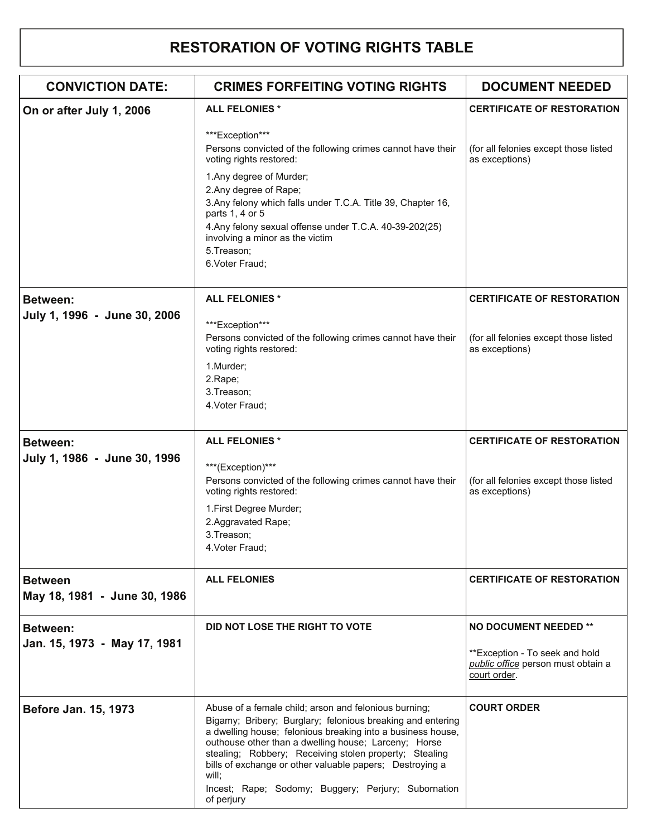#### **RESTORATION OF VOTING RIGHTS TABLE**

| <b>CONVICTION DATE:</b>                        | <b>CRIMES FORFEITING VOTING RIGHTS</b>                                                                                                                                                                                                                                                                                                                                                                                                         | <b>DOCUMENT NEEDED</b>                                                               |
|------------------------------------------------|------------------------------------------------------------------------------------------------------------------------------------------------------------------------------------------------------------------------------------------------------------------------------------------------------------------------------------------------------------------------------------------------------------------------------------------------|--------------------------------------------------------------------------------------|
| On or after July 1, 2006                       | <b>ALL FELONIES *</b>                                                                                                                                                                                                                                                                                                                                                                                                                          | <b>CERTIFICATE OF RESTORATION</b>                                                    |
|                                                | ***Exception***<br>Persons convicted of the following crimes cannot have their<br>voting rights restored:<br>1. Any degree of Murder;<br>2. Any degree of Rape;<br>3. Any felony which falls under T.C.A. Title 39, Chapter 16,<br>parts 1, 4 or 5<br>4. Any felony sexual offense under T.C.A. 40-39-202(25)<br>involving a minor as the victim<br>5.Treason;<br>6.Voter Fraud;                                                               | (for all felonies except those listed<br>as exceptions)                              |
| <b>Between:</b>                                | <b>ALL FELONIES*</b>                                                                                                                                                                                                                                                                                                                                                                                                                           | <b>CERTIFICATE OF RESTORATION</b>                                                    |
| July 1, 1996 - June 30, 2006                   | ***Exception***<br>Persons convicted of the following crimes cannot have their<br>voting rights restored:<br>1.Murder;<br>2.Rape;<br>3. Treason;<br>4. Voter Fraud;                                                                                                                                                                                                                                                                            | (for all felonies except those listed<br>as exceptions)                              |
| <b>Between:</b>                                | <b>ALL FELONIES*</b>                                                                                                                                                                                                                                                                                                                                                                                                                           | <b>CERTIFICATE OF RESTORATION</b>                                                    |
| July 1, 1986 - June 30, 1996                   | ***(Exception)***<br>Persons convicted of the following crimes cannot have their<br>voting rights restored:<br>1. First Degree Murder;<br>2.Aggravated Rape;<br>3. Treason;<br>4. Voter Fraud;                                                                                                                                                                                                                                                 | (for all felonies except those listed<br>as exceptions)                              |
| <b>Between</b><br>May 18, 1981 - June 30, 1986 | <b>ALL FELONIES</b>                                                                                                                                                                                                                                                                                                                                                                                                                            | <b>CERTIFICATE OF RESTORATION</b>                                                    |
| <b>Between:</b>                                | DID NOT LOSE THE RIGHT TO VOTE                                                                                                                                                                                                                                                                                                                                                                                                                 | <b>NO DOCUMENT NEEDED **</b>                                                         |
| Jan. 15, 1973 - May 17, 1981                   |                                                                                                                                                                                                                                                                                                                                                                                                                                                | **Exception - To seek and hold<br>public office person must obtain a<br>court order. |
| Before Jan. 15, 1973                           | Abuse of a female child; arson and felonious burning;<br>Bigamy; Bribery; Burglary; felonious breaking and entering<br>a dwelling house; felonious breaking into a business house,<br>outhouse other than a dwelling house; Larceny; Horse<br>stealing; Robbery; Receiving stolen property; Stealing<br>bills of exchange or other valuable papers; Destroying a<br>will;<br>Incest; Rape; Sodomy; Buggery; Perjury; Subornation<br>of perjury | <b>COURT ORDER</b>                                                                   |